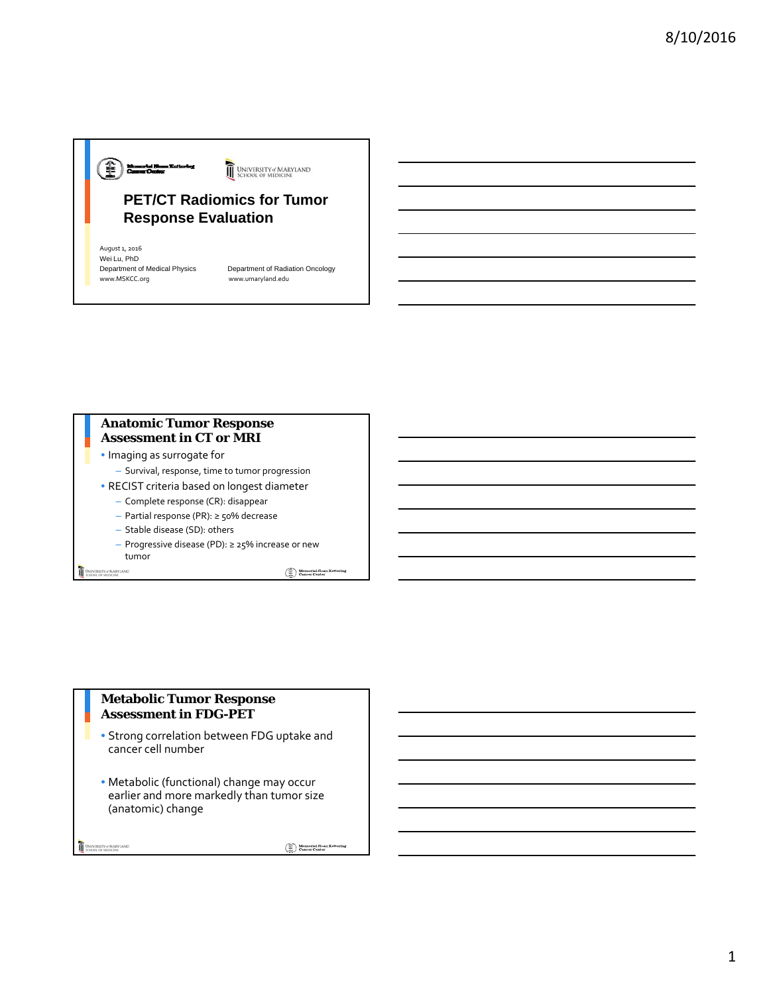# ⊕<del>⊫≈</del>™ UNIVERSITY of MARYLAND **PET/CT Radiomics for Tumor Response Evaluation Response**

August 1, 2016 Wei Lu, PhD<br>Department of Medical Physics Department of Medical Physics Department of Radiation Oncology

www.umaryland.edu

## **Anatomic Tumor Response Assessment in CT or MRI**

- Imaging as surrogate for
	- Survival, response, time to tumor progression
- RECIST criteria based on longest diameter
	- Complete response (CR): disappear
	- Partial response (PR): ≥ 50% decrease
	- Stable disease (SD): others
	- Progressive disease (PD): ≥ 25% increase or new tumor

UNIVERSITY of MARYLAND

 $\begin{tabular}{|c|c|} \hline \hline \multicolumn{3}{|c|}{\textbf{}}\\ \hline \multicolumn{3}{|c|}{\textbf{}}\\ \hline \multicolumn{3}{|c|}{\textbf{}}\\ \hline \multicolumn{3}{|c|}{\textbf{}}\\ \hline \multicolumn{3}{|c|}{\textbf{}}\\ \hline \multicolumn{3}{|c|}{\textbf{}}\\ \hline \multicolumn{3}{|c|}{\textbf{}}\\ \hline \multicolumn{3}{|c|}{\textbf{}}\\ \hline \multicolumn{3}{|c|}{\textbf{}}\\ \hline \multicolumn{3}{|c|}{\textbf{}}\\ \hline \mult$ 

#### **Metabolic Tumor Response Assessment in FDG-PET**

- Strong correlation between FDG uptake and cancer cell number
- Metabolic (functional) change may occur earlier and more markedly than tumor size (anatomic) change

UNIVERSITY of MARYLAND

 $\left(\begin{matrix} \widehat{\oplus} \\ \widehat{\oplus} \\ \widehat{\mathrm{rad}} \end{matrix}\right) \begin{matrix} \text{Memorial Sloan Kett} \\ \text{Cancer Center} \end{matrix}$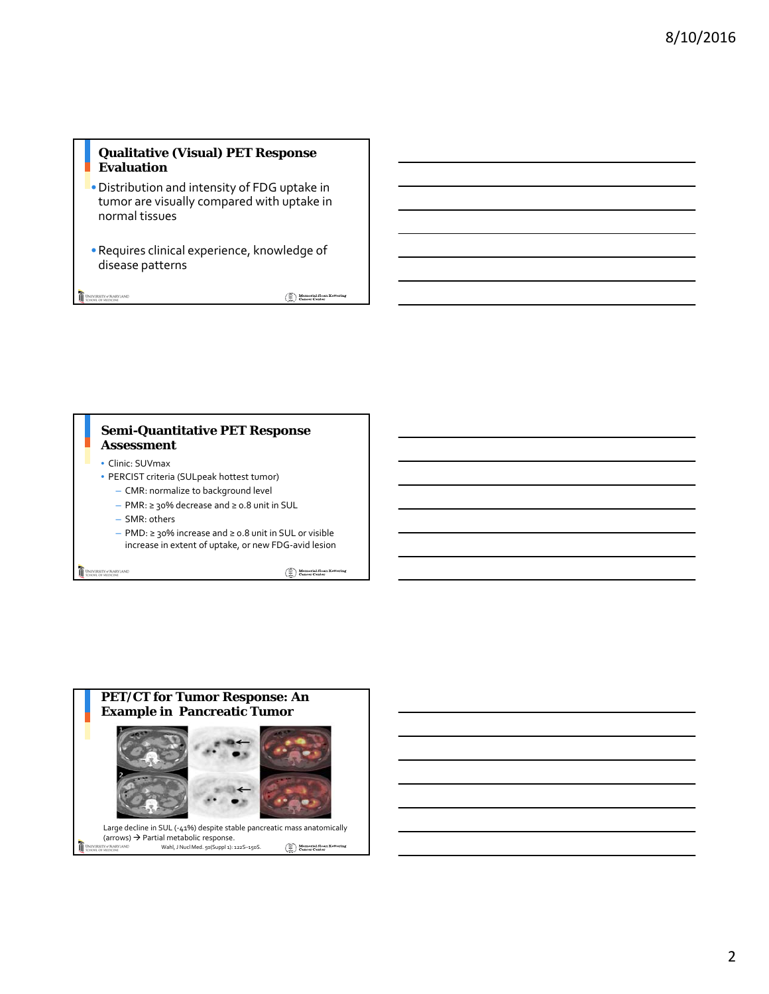# **Qualitative (Visual) PET Response Evaluation**

- •Distribution and intensity of FDG uptake in tumor are visually compared with uptake in normal tissues
- •Requires clinical experience, knowledge of disease patterns

UNIVERSITY of MARYLAND

 $\begin{picture}(120,140)(-40,0) \put(0,0){\line(1,0){10}} \put(15,0){\line(1,0){10}} \put(15,0){\line(1,0){10}} \put(15,0){\line(1,0){10}} \put(15,0){\line(1,0){10}} \put(15,0){\line(1,0){10}} \put(15,0){\line(1,0){10}} \put(15,0){\line(1,0){10}} \put(15,0){\line(1,0){10}} \put(15,0){\line(1,0){10}} \put(15,0){\line(1,0){10}} \put(1$ 

#### **Semi-Quantitative PET Response Assessment**

- Clinic: SUVmax
- PERCIST criteria (SULpeak hottest tumor)
	- CMR: normalize to background level
	- PMR: ≥ 30% decrease and ≥ 0.8 unit in SUL
	- SMR: others
	- PMD: ≥ 30% increase and ≥ 0.8 unit in SUL or visible increase in extent of uptake, or new FDG-avid lesion

UNIVERSITY of MARYLAND

 $\begin{tabular}{|c|c|} \hline \hline \multicolumn{3}{|c|}{\textbf{}}\\ \hline \multicolumn{3}{|c|}{\textbf{}}\\ \hline \multicolumn{3}{|c|}{\textbf{}}\\ \hline \multicolumn{3}{|c|}{\textbf{}}\\ \hline \multicolumn{3}{|c|}{\textbf{}}\\ \hline \multicolumn{3}{|c|}{\textbf{}}\\ \hline \multicolumn{3}{|c|}{\textbf{}}\\ \hline \multicolumn{3}{|c|}{\textbf{}}\\ \hline \multicolumn{3}{|c|}{\textbf{}}\\ \hline \multicolumn{3}{|c|}{\textbf{}}\\ \hline \mult$ 

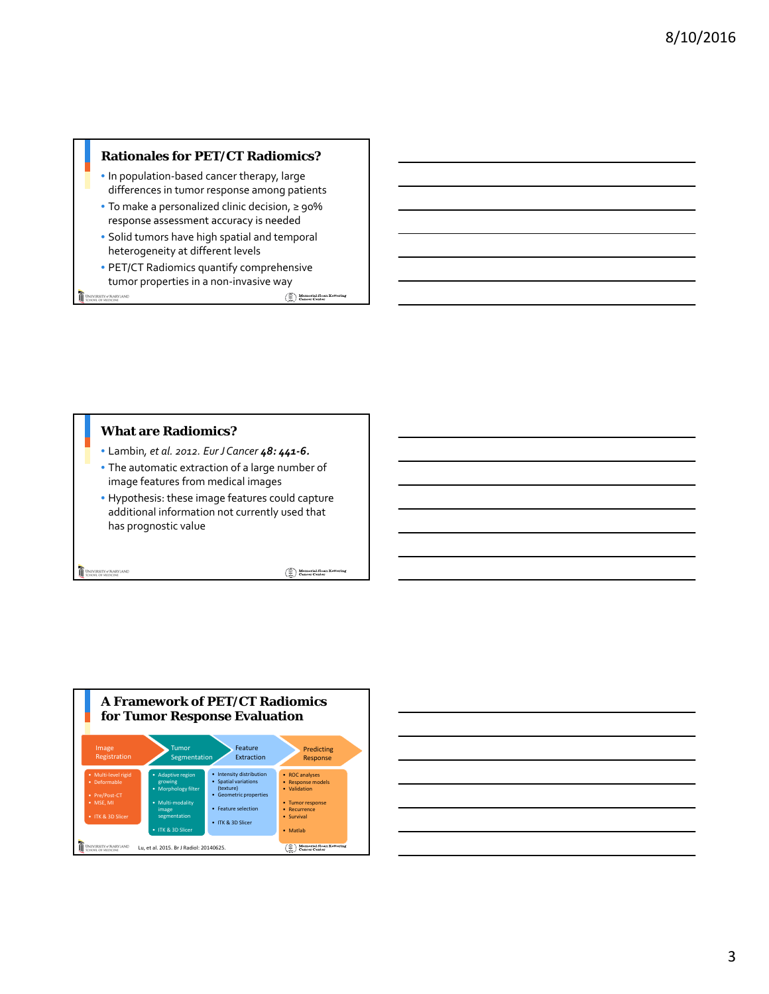## **Rationales for PET/CT Radiomics?**

- In population-based cancer therapy, large differences in tumor response among patients
- To make a personalized clinic decision, ≥ 90% response assessment accuracy is needed
- Solid tumors have high spatial and temporal heterogeneity at different levels
- PET/CT Radiomics quantify comprehensive tumor properties in a non-invasive way

UNIVERSITY of MARYLAND

 $\begin{picture}(120,140)(-40,0) \put(0,0){\line(1,0){10}} \put(15,0){\line(1,0){10}} \put(15,0){\line(1,0){10}} \put(15,0){\line(1,0){10}} \put(15,0){\line(1,0){10}} \put(15,0){\line(1,0){10}} \put(15,0){\line(1,0){10}} \put(15,0){\line(1,0){10}} \put(15,0){\line(1,0){10}} \put(15,0){\line(1,0){10}} \put(15,0){\line(1,0){10}} \put(1$ 

## **What are Radiomics?**

- Lambin*, et al. 2012. Eur J Cancer 48: 441-6.*
- The automatic extraction of a large number of image features from medical images
- Hypothesis: these image features could capture additional information not currently used that has prognostic value

UNIVERSITY of MARYLAND

 $\begin{picture}(120,140)(-40,0) \put(0,0){\vector(0,1){30}} \put(15,0){\vector(0,1){30}} \put(15,0){\vector(0,1){30}} \put(15,0){\vector(0,1){30}} \put(15,0){\vector(0,1){30}} \put(15,0){\vector(0,1){30}} \put(15,0){\vector(0,1){30}} \put(15,0){\vector(0,1){30}} \put(15,0){\vector(0,1){30}} \put(15,0){\vector(0,1){30}} \put(15,0){\vector(0,1){30}} \put(1$ 



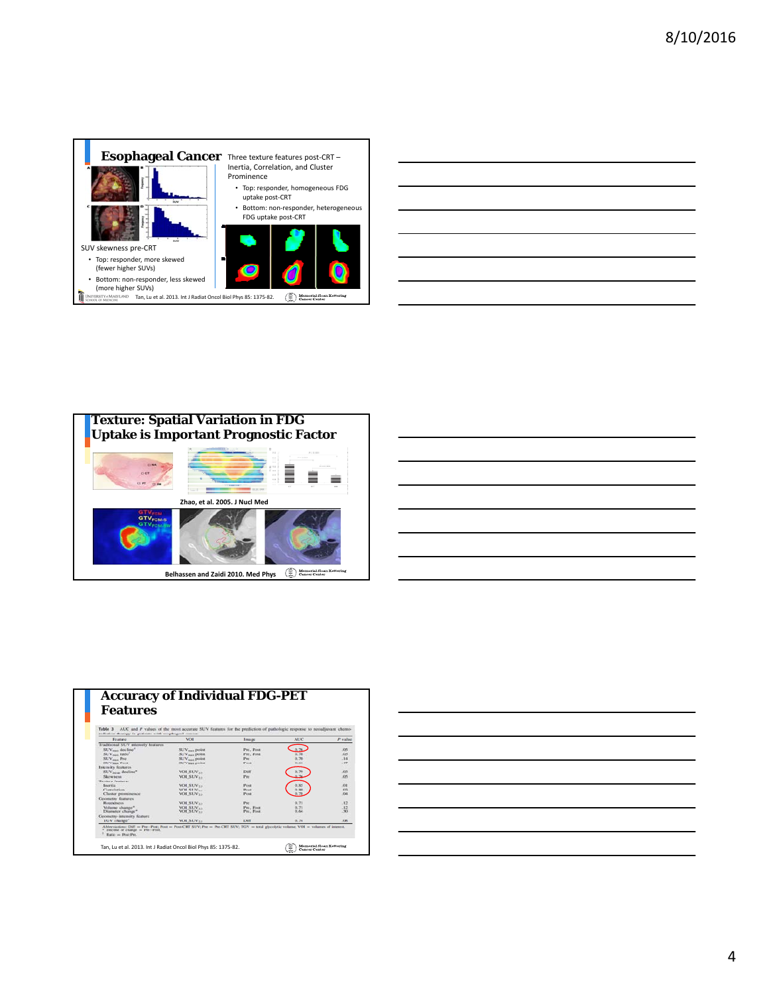

| the control of the control of the control of                                                                         |  |  |  |  |
|----------------------------------------------------------------------------------------------------------------------|--|--|--|--|
|                                                                                                                      |  |  |  |  |
| <u> 1989 - Andrea Santa Andrea Andrea Andrea Andrea Andrea Andrea Andrea Andrea Andrea Andrea Andrea Andrea Andr</u> |  |  |  |  |
| the contract of the contract of the contract of the contract of the contract of                                      |  |  |  |  |
|                                                                                                                      |  |  |  |  |



|                                                                                                                       | ______                  |
|-----------------------------------------------------------------------------------------------------------------------|-------------------------|
|                                                                                                                       |                         |
| and the contract of the contract of the contract of the contract of the contract of the contract of the contract of   | ___                     |
|                                                                                                                       |                         |
|                                                                                                                       |                         |
|                                                                                                                       |                         |
|                                                                                                                       |                         |
|                                                                                                                       |                         |
|                                                                                                                       |                         |
|                                                                                                                       |                         |
| <u> 1989 - Johann Harry Harry Harry Harry Harry Harry Harry Harry Harry Harry Harry Harry Harry Harry Harry Harry</u> | <b>Service Contract</b> |

| Table 3                                                          | AUC and P values of the most accurate SUV features for the prediction of pathologic response to neoadjuvant chemo- |              |            |            |
|------------------------------------------------------------------|--------------------------------------------------------------------------------------------------------------------|--------------|------------|------------|
| radiation therapy in perients with excelsaged cancer.<br>Feature | <b>VOIL</b>                                                                                                        | I ma ge      | <b>AUC</b> | P value    |
| Traditional SUV intensity features                               |                                                                                                                    |              |            |            |
| SUV <sub>mas</sub> decline <sup>4</sup>                          | SUV <sub>mai</sub> point                                                                                           | Par. Post    |            | :05        |
| SUV <sub>mas</sub> ratio <sup>2</sup>                            | SUV <sub>mas</sub> point.                                                                                          | Fre. Free    | 0.36       | 509        |
| SUV <sub>men</sub> Pre                                           | SUV <sub>mes</sub> point                                                                                           | Per.         | 0.70       | .14        |
| SUV <sub>men</sub> Post                                          | SUV <sub>mas</sub> point                                                                                           | Post         | 0.61       | $-47$      |
| Intensity features                                               |                                                                                                                    |              |            |            |
|                                                                  | VOI SUV                                                                                                            | Diff         |            | $-0.03$    |
| Skewness:                                                        | VOI SUV.,                                                                                                          | Pro          |            | 05         |
| <b>Texture featurer</b>                                          |                                                                                                                    |              |            |            |
| Bourrils.                                                        | <b>VOL SUV<sub>28</sub></b>                                                                                        | Post         |            | 301        |
| Cometation                                                       | VOL SUV                                                                                                            | Post.        | 0.80       | 323        |
| Cluster prominence                                               | VOL SUV <sub>11</sub>                                                                                              | Post.        |            | 64         |
| Geometry features                                                |                                                                                                                    |              |            |            |
| Roundseas.                                                       | VOL SUV <sub>33</sub>                                                                                              | Pre-         | 0.71       | .12        |
| Volume change*                                                   | VOL SUV                                                                                                            | Pre. Post    | 0.71       | .12        |
| Diameter change"                                                 | VOI SUV <sub>22</sub>                                                                                              | Pre. Post    | 0.64       | $33 - 36$  |
| Geometry-intensity feature                                       |                                                                                                                    |              |            |            |
| TGV change <sup>*</sup>                                          | <b>VOL SUV<sub>33</sub></b>                                                                                        | <b>Durit</b> | 0.74       | <b>KBS</b> |

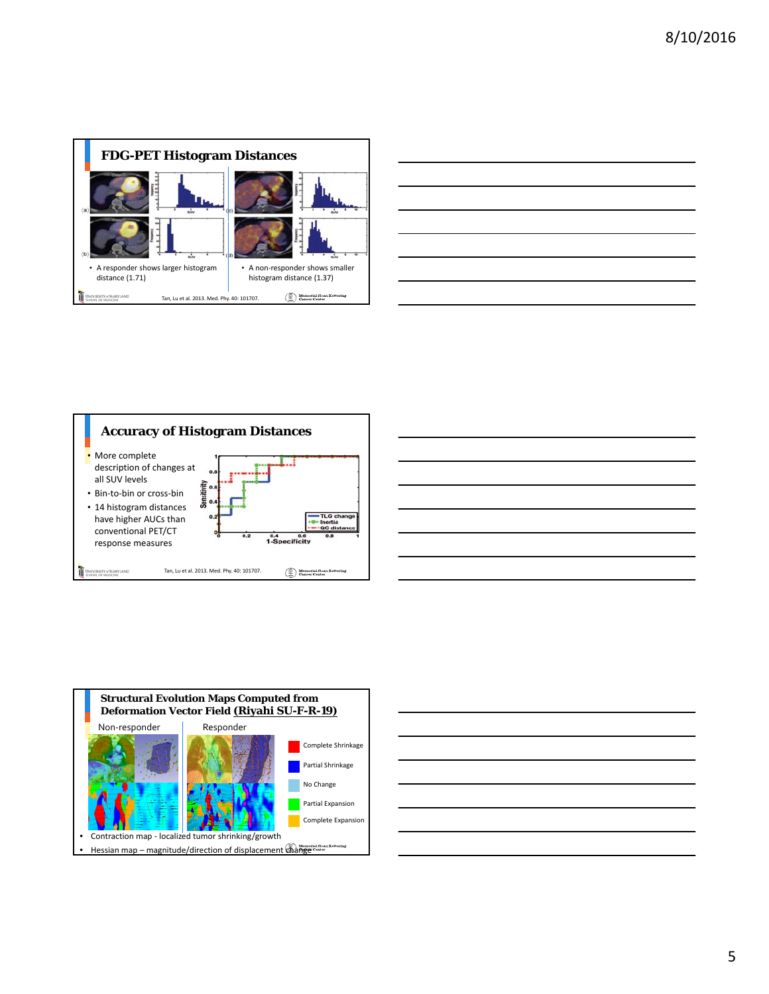

| <u> 1989 - Johann Barbara, marka a shekara tsa 1989 - An tsa 1989 - An tsa 1989 - An tsa 1989 - An tsa 1989 - An</u> |  |               |
|----------------------------------------------------------------------------------------------------------------------|--|---------------|
| <u> Alexandria de la contrada de la contrada de la contrada de la contrada de la contrada de la contrada de la c</u> |  |               |
| <u> 2000 - Andrea Andrew Amerikaanse kommunister († 18</u>                                                           |  |               |
| $\overline{\phantom{a}}$                                                                                             |  | $\sim$ $\sim$ |
| <u> 1989 - Johann Barn, fransk politik amerikansk politik (</u>                                                      |  |               |
| <u> 1989 - Johann John Stein, markin sanadi a shekara ta 1989 - An tsara tsara tsara tsara tsara tsara tsara tsa</u> |  | ______        |
|                                                                                                                      |  |               |
|                                                                                                                      |  |               |







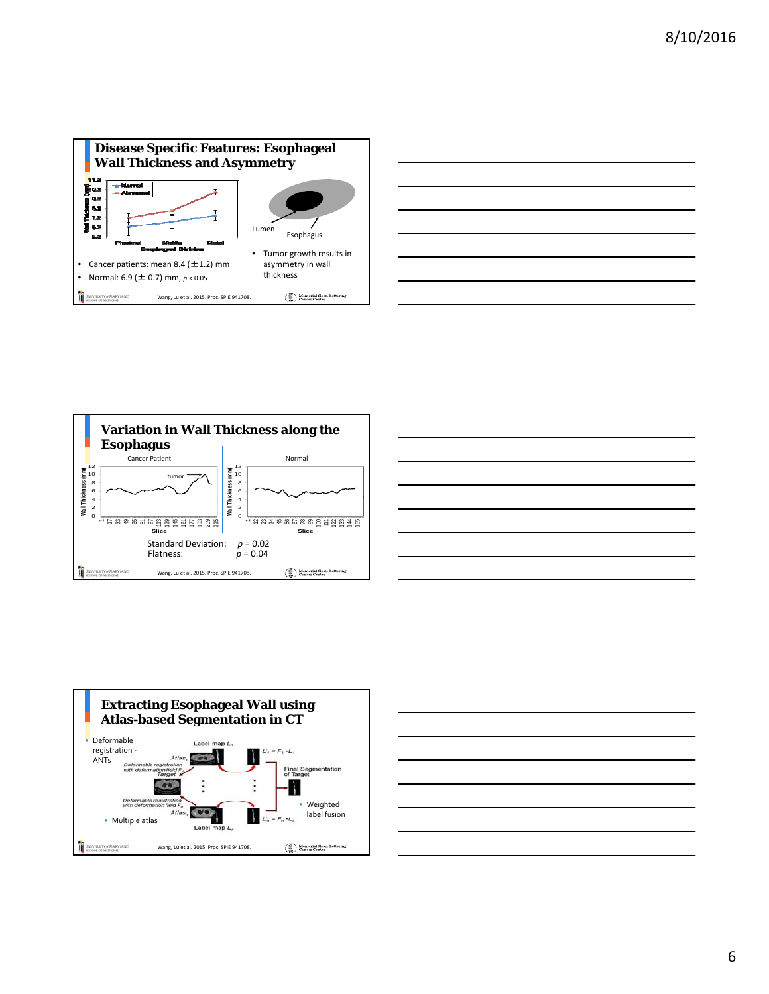









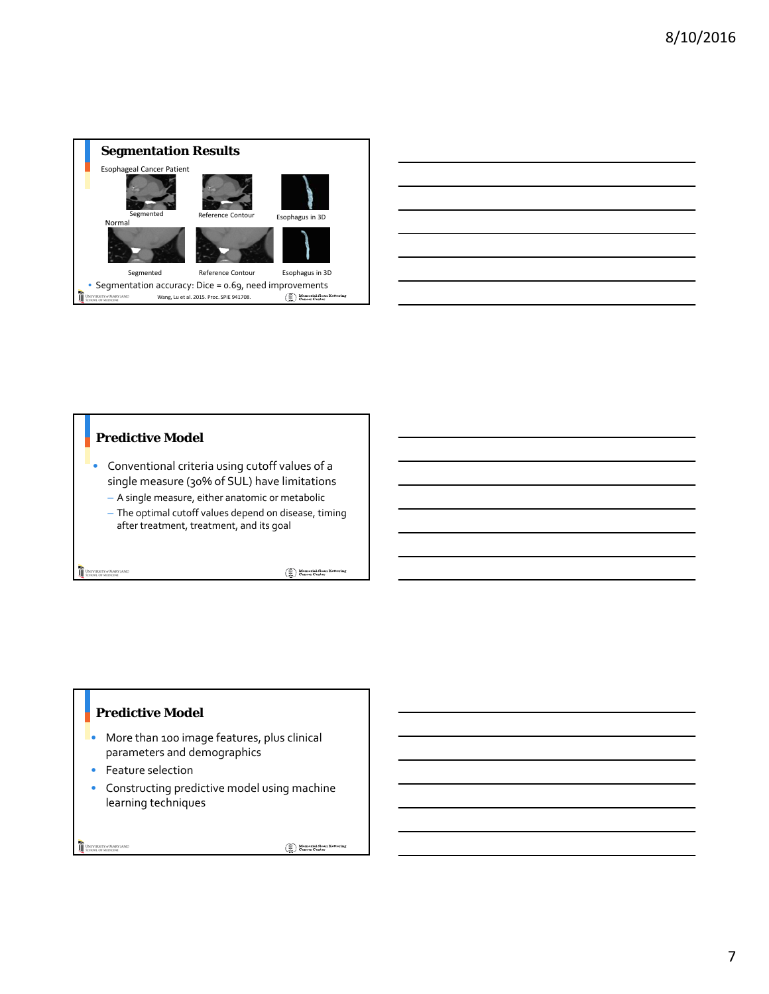

| <u> 1989 - Johann Stoff, amerikansk politiker (d. 1989)</u>                                                           |  |
|-----------------------------------------------------------------------------------------------------------------------|--|
|                                                                                                                       |  |
|                                                                                                                       |  |
| <u> 1989 - Andrea Andrew Maria (h. 1989).</u>                                                                         |  |
| <u> 1989 - Johann Stoff, deutscher Stoff, der Stoff, der Stoff, der Stoff, der Stoff, der Stoff, der Stoff, der S</u> |  |
|                                                                                                                       |  |
|                                                                                                                       |  |

 $\overline{\phantom{0}}$ 

# **Predictive Model**

- Conventional criteria using cutoff values of a single measure (30% of SUL) have limitations
	- $-$  A single measure, either anatomic or metabolic
	- The optimal cutoff values depend on disease, timing after treatment, treatment, and its goal

UNIVERSITY of MARYLAND

 $\begin{picture}(120,140)(-4,0) \put(0,0){\line(1,0){15}} \put(15,0){\line(1,0){15}} \put(15,0){\line(1,0){15}} \put(15,0){\line(1,0){15}} \put(15,0){\line(1,0){15}} \put(15,0){\line(1,0){15}} \put(15,0){\line(1,0){15}} \put(15,0){\line(1,0){15}} \put(15,0){\line(1,0){15}} \put(15,0){\line(1,0){15}} \put(15,0){\line(1,0){15}} \put(15$ 

## **Predictive Model**

- **•** More than 100 image features, plus clinical parameters and demographics
- $\bullet$  Feature selection
- Constructing predictive model using machine learning techniques

UNIVERSITY of MARYLAND

 $\begin{picture}(120,140)(-4,0) \put(0,0){\line(1,0){10}} \put(15,0){\line(1,0){10}} \put(15,0){\line(1,0){10}} \put(15,0){\line(1,0){10}} \put(15,0){\line(1,0){10}} \put(15,0){\line(1,0){10}} \put(15,0){\line(1,0){10}} \put(15,0){\line(1,0){10}} \put(15,0){\line(1,0){10}} \put(15,0){\line(1,0){10}} \put(15,0){\line(1,0){10}} \put(15$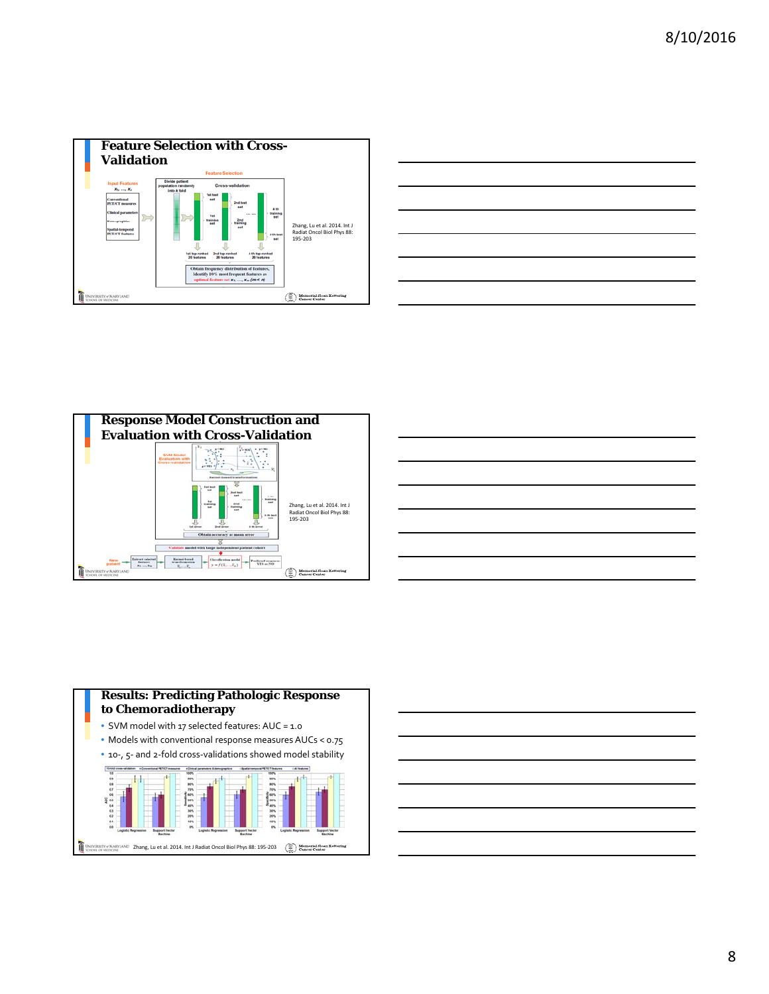









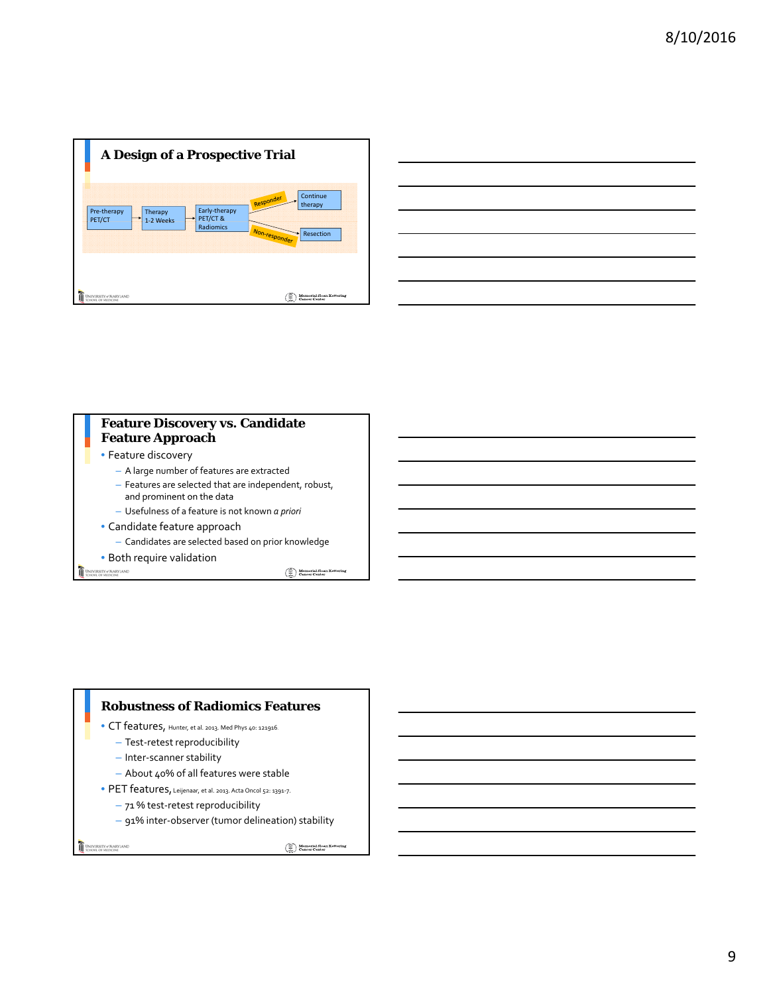



## **Feature Discovery vs. Candidate Feature Approach**

- Feature discovery
	- A large number of features are extracted
	- Features are selected that are independent, robust, and prominent on the data
	- Usefulness of a feature is not known *a priori*
- Candidate feature approach
	- Candidates are selected based on prior knowledge

• Both require validation

UNIVERSITY of MARYLAND

 $\begin{picture}(120,140)(-40,0) \put(0,0){\vector(0,1){30}} \put(15,0){\vector(0,1){30}} \put(15,0){\vector(0,1){30}} \put(15,0){\vector(0,1){30}} \put(15,0){\vector(0,1){30}} \put(15,0){\vector(0,1){30}} \put(15,0){\vector(0,1){30}} \put(15,0){\vector(0,1){30}} \put(15,0){\vector(0,1){30}} \put(15,0){\vector(0,1){30}} \put(15,0){\vector(0,1){30}} \put(1$ 

#### **Robustness of Radiomics Features**

- CT features, Hunter, et al. 2013. Med Phys 40: 121916.
	- Test-retest reproducibility
	- Inter-scanner stability
	- About 40% of all features were stable
- PET features, Leijenaar, et al. 2013. Acta Oncol 52: 1391-7.
	- 71 % test-retest reproducibility
	- 91% inter-observer (tumor delineation) stability

UNIVERSITY of MARYLAND

 $\left(\begin{matrix} \widehat{\oplus} \\ \widehat{\oplus} \end{matrix}\right) \begin{matrix} \text{Memorial S loan Kettering} \\ \text{Cancer Center} \end{matrix}$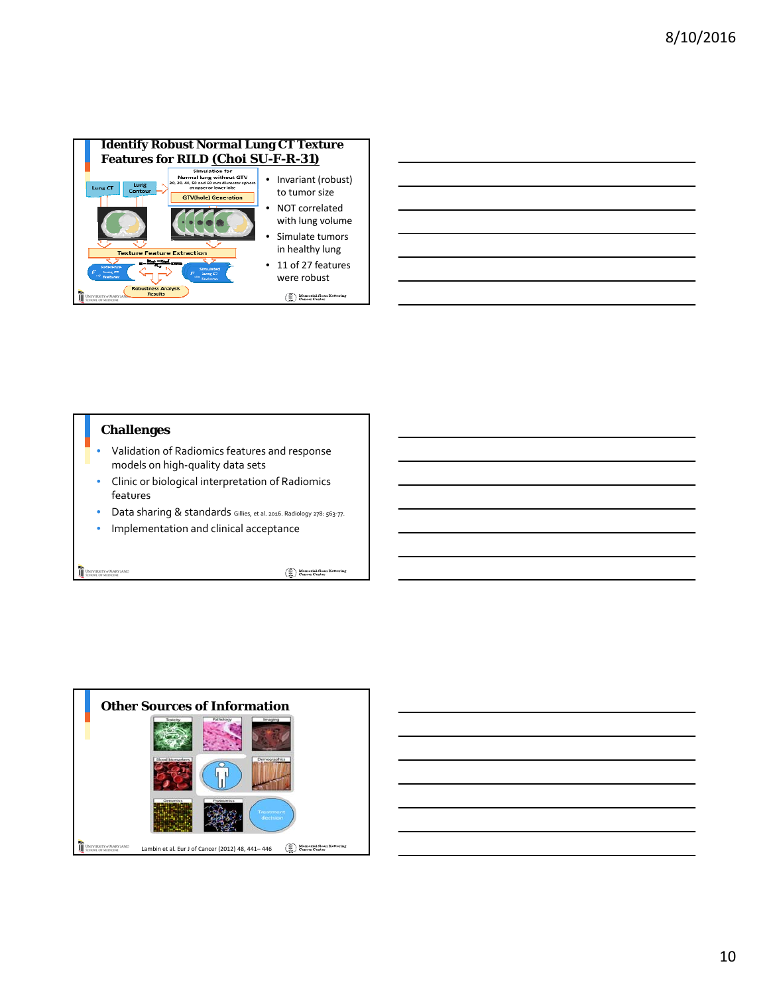

## **Challenges**

- Validation of Radiomics features and response models on high-quality data sets
- Clinic or biological interpretation of Radiomics features
- Data sharing & standards Gillies, et al. 2016. Radiology 278: 563-77.
- Implementation and clinical acceptance

UNIVERSITY of MARYLAND

 $\begin{picture}(120,140)(-40,0) \put(0,0){\line(1,0){10}} \put(15,0){\line(1,0){10}} \put(15,0){\line(1,0){10}} \put(15,0){\line(1,0){10}} \put(15,0){\line(1,0){10}} \put(15,0){\line(1,0){10}} \put(15,0){\line(1,0){10}} \put(15,0){\line(1,0){10}} \put(15,0){\line(1,0){10}} \put(15,0){\line(1,0){10}} \put(15,0){\line(1,0){10}} \put(1$